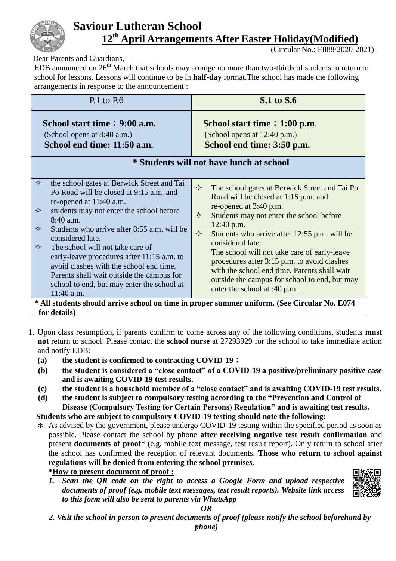

# **Saviour Lutheran School 12th April Arrangements After Easter Holiday(Modified)**

(Circular No.: E088/2020-2021)

Dear Parents and Guardians,

EDB announced on  $26<sup>th</sup>$  March that schools may arrange no more than two-thirds of students to return to school for lessons. Lessons will continue to be in **half-day** format.The school has made the following arrangements in response to the announcement :

| $P.1$ to $P.6$                                                                                                                                                                                                                                                                                                                                                                                                                                                                                         | <b>S.1</b> to S.6                                                                                                                                                                                                                                                                                                                                                                                                                                                                                                            |  |  |  |  |  |  |
|--------------------------------------------------------------------------------------------------------------------------------------------------------------------------------------------------------------------------------------------------------------------------------------------------------------------------------------------------------------------------------------------------------------------------------------------------------------------------------------------------------|------------------------------------------------------------------------------------------------------------------------------------------------------------------------------------------------------------------------------------------------------------------------------------------------------------------------------------------------------------------------------------------------------------------------------------------------------------------------------------------------------------------------------|--|--|--|--|--|--|
| School start time: 9:00 a.m.<br>(School opens at 8:40 a.m.)<br>School end time: 11:50 a.m.                                                                                                                                                                                                                                                                                                                                                                                                             | School start time $: 1:00$ p.m.<br>(School opens at 12:40 p.m.)<br>School end time: 3:50 p.m.<br>* Students will not have lunch at school                                                                                                                                                                                                                                                                                                                                                                                    |  |  |  |  |  |  |
|                                                                                                                                                                                                                                                                                                                                                                                                                                                                                                        |                                                                                                                                                                                                                                                                                                                                                                                                                                                                                                                              |  |  |  |  |  |  |
| ✧<br>the school gates at Berwick Street and Tai<br>Po Road will be closed at 9:15 a.m. and<br>re-opened at 11:40 a.m.<br>students may not enter the school before<br>✧<br>8:40 a.m.<br>✧<br>Students who arrive after 8:55 a.m. will be<br>considered late.<br>✧<br>The school will not take care of<br>early-leave procedures after 11:15 a.m. to<br>avoid clashes with the school end time.<br>Parents shall wait outside the campus for<br>school to end, but may enter the school at<br>11:40 a.m. | $\Leftrightarrow$<br>The school gates at Berwick Street and Tai Po<br>Road will be closed at 1:15 p.m. and<br>re-opened at 3:40 p.m.<br>✧<br>Students may not enter the school before<br>12:40 p.m.<br>$\Leftrightarrow$<br>Students who arrive after 12:55 p.m. will be<br>considered late.<br>The school will not take care of early-leave<br>procedures after 3:15 p.m. to avoid clashes<br>with the school end time. Parents shall wait<br>outside the campus for school to end, but may<br>enter the school at :40 p.m. |  |  |  |  |  |  |
| * All students should arrive school on time in proper summer uniform. (See Circular No. E074<br>for details)                                                                                                                                                                                                                                                                                                                                                                                           |                                                                                                                                                                                                                                                                                                                                                                                                                                                                                                                              |  |  |  |  |  |  |

- 1. Upon class resumption, if parents confirm to come across any of the following conditions, students **must not** return to school. Please contact the **school nurse** at 27293929 for the school to take immediate action and notify EDB:
	- **(a) the student is confirmed to contracting COVID-19**;
	- **(b) the student is considered a "close contact" of a COVID-19 a positive/preliminary positive case and is awaiting COVID-19 test results.**
	- **(c) the student is a household member of a "close contact" and is awaiting COVID-19 test results.**
	- **(d) the student is subject to compulsory testing according to the "Prevention and Control of Disease (Compulsory Testing for Certain Persons) Regulation" and is awaiting test results.**

#### **Students who are subject to compulsory COVID-19 testing should note the following:**

\* As advised by the government, please undergo COVID-19 testing within the specified period as soon as possible. Please contact the school by phone **after receiving negative test result confirmation** and present **documents of proof**\* (e.g. mobile text message, test result report). Only return to school after the school has confirmed the reception of relevant documents. **Those who return to school against regulations will be denied from entering the school premises.** 

#### **\*How to present document of proof :**

*1. Scan the QR code on the right to access a Google Form and upload respective documents of proof (e.g. mobile text messages, test result reports). Website link access to this form will also be sent to parents via WhatsApp*



#### *OR*

*2. Visit the school in person to present documents of proof (please notify the school beforehand by*